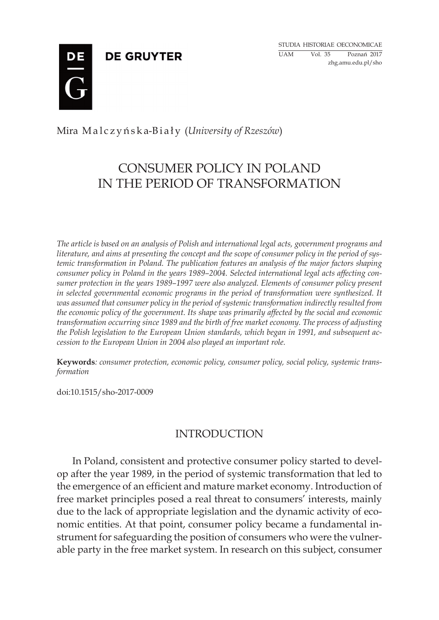**DE GRUYTER** 

Studia historiae oeconomicae UAM Vol. 35 Poznań 2017 zhg.amu.edu.pl/sho



Mira Ma l c z y ń s k a-B i a ł y (*University of Rzeszów*)

# CONSUMER POLICY IN POLAND IN THE PERIOD OF TRANSFORMATION

*The article is based on an analysis of Polish and international legal acts, government programs and literature, and aims at presenting the concept and the scope of consumer policy in the period of systemic transformation in Poland. The publication features an analysis of the major factors shaping consumer policy in Poland in the years 1989–2004. Selected international legal acts affecting consumer protection in the years 1989–1997 were also analyzed. Elements of consumer policy present in selected governmental economic programs in the period of transformation were synthesized. It was assumed that consumer policy in the period of systemic transformation indirectly resulted from the economic policy of the government. Its shape was primarily affected by the social and economic transformation occurring since 1989 and the birth of free market economy. The process of adjusting the Polish legislation to the European Union standards, which began in 1991, and subsequent accession to the European Union in 2004 also played an important role.*

**Keywords***: consumer protection, economic policy, consumer policy, social policy, systemic transformation*

doi:10.1515/sho-2017-0009

## INTRODUCTION

In Poland, consistent and protective consumer policy started to develop after the year 1989, in the period of systemic transformation that led to the emergence of an efficient and mature market economy. Introduction of free market principles posed a real threat to consumers' interests, mainly due to the lack of appropriate legislation and the dynamic activity of economic entities. At that point, consumer policy became a fundamental instrument for safeguarding the position of consumers who were the vulnerable party in the free market system. In research on this subject, consumer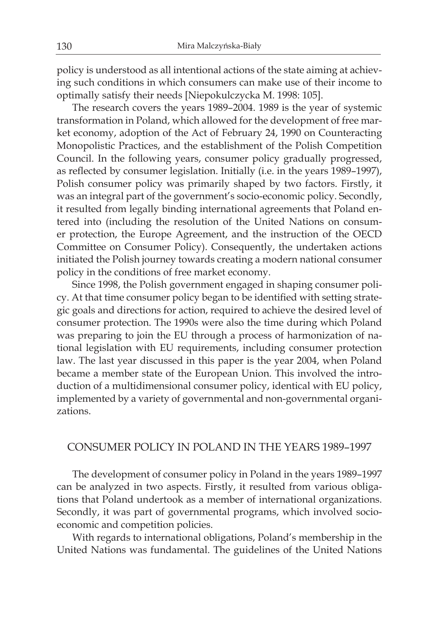policy is understood as all intentional actions of the state aiming at achieving such conditions in which consumers can make use of their income to optimally satisfy their needs [Niepokulczycka M. 1998: 105].

The research covers the years 1989–2004. 1989 is the year of systemic transformation in Poland, which allowed for the development of free market economy, adoption of the Act of February 24, 1990 on Counteracting Monopolistic Practices, and the establishment of the Polish Competition Council. In the following years, consumer policy gradually progressed, as reflected by consumer legislation. Initially (i.e. in the years 1989–1997), Polish consumer policy was primarily shaped by two factors. Firstly, it was an integral part of the government's socio-economic policy. Secondly, it resulted from legally binding international agreements that Poland entered into (including the resolution of the United Nations on consumer protection, the Europe Agreement, and the instruction of the OECD Committee on Consumer Policy). Consequently, the undertaken actions initiated the Polish journey towards creating a modern national consumer policy in the conditions of free market economy.

Since 1998, the Polish government engaged in shaping consumer policy. At that time consumer policy began to be identified with setting strategic goals and directions for action, required to achieve the desired level of consumer protection. The 1990s were also the time during which Poland was preparing to join the EU through a process of harmonization of national legislation with EU requirements, including consumer protection law. The last year discussed in this paper is the year 2004, when Poland became a member state of the European Union. This involved the introduction of a multidimensional consumer policy, identical with EU policy, implemented by a variety of governmental and non-governmental organizations.

### CONSUMER POLICY IN POLAND IN THE YEARS 1989–1997

The development of consumer policy in Poland in the years 1989–1997 can be analyzed in two aspects. Firstly, it resulted from various obligations that Poland undertook as a member of international organizations. Secondly, it was part of governmental programs, which involved socioeconomic and competition policies.

With regards to international obligations, Poland's membership in the United Nations was fundamental. The guidelines of the United Nations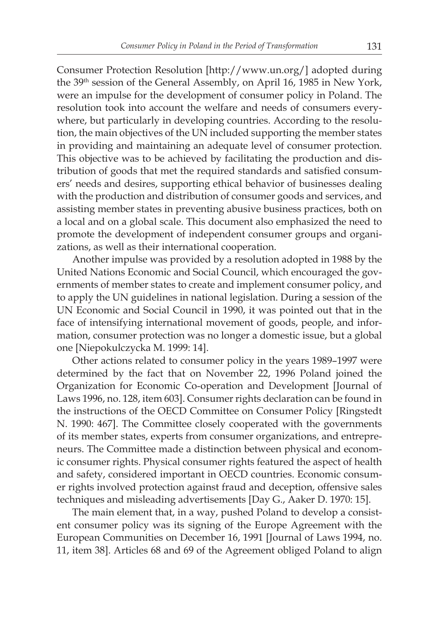Consumer Protection Resolution [http://www.un.org/] adopted during the 39th session of the General Assembly, on April 16, 1985 in New York, were an impulse for the development of consumer policy in Poland. The resolution took into account the welfare and needs of consumers everywhere, but particularly in developing countries. According to the resolution, the main objectives of the UN included supporting the member states in providing and maintaining an adequate level of consumer protection. This objective was to be achieved by facilitating the production and distribution of goods that met the required standards and satisfied consumers' needs and desires, supporting ethical behavior of businesses dealing with the production and distribution of consumer goods and services, and assisting member states in preventing abusive business practices, both on a local and on a global scale. This document also emphasized the need to promote the development of independent consumer groups and organizations, as well as their international cooperation.

Another impulse was provided by a resolution adopted in 1988 by the United Nations Economic and Social Council, which encouraged the governments of member states to create and implement consumer policy, and to apply the UN guidelines in national legislation. During a session of the UN Economic and Social Council in 1990, it was pointed out that in the face of intensifying international movement of goods, people, and information, consumer protection was no longer a domestic issue, but a global one [Niepokulczycka M. 1999: 14].

Other actions related to consumer policy in the years 1989–1997 were determined by the fact that on November 22, 1996 Poland joined the Organization for Economic Co-operation and Development [Journal of Laws 1996, no. 128, item 603]. Consumer rights declaration can be found in the instructions of the OECD Committee on Consumer Policy [Ringstedt N. 1990: 467]. The Committee closely cooperated with the governments of its member states, experts from consumer organizations, and entrepreneurs. The Committee made a distinction between physical and economic consumer rights. Physical consumer rights featured the aspect of health and safety, considered important in OECD countries. Economic consumer rights involved protection against fraud and deception, offensive sales techniques and misleading advertisements [Day G., Aaker D. 1970: 15].

The main element that, in a way, pushed Poland to develop a consistent consumer policy was its signing of the Europe Agreement with the European Communities on December 16, 1991 [Journal of Laws 1994, no. 11, item 38]. Articles 68 and 69 of the Agreement obliged Poland to align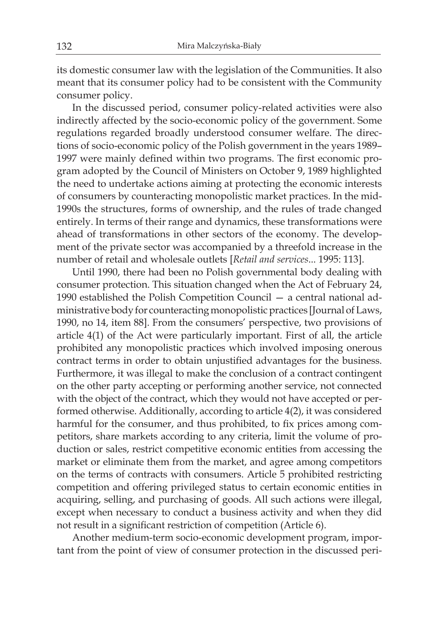its domestic consumer law with the legislation of the Communities. It also meant that its consumer policy had to be consistent with the Community consumer policy.

In the discussed period, consumer policy-related activities were also indirectly affected by the socio-economic policy of the government. Some regulations regarded broadly understood consumer welfare. The directions of socio-economic policy of the Polish government in the years 1989– 1997 were mainly defined within two programs. The first economic program adopted by the Council of Ministers on October 9, 1989 highlighted the need to undertake actions aiming at protecting the economic interests of consumers by counteracting monopolistic market practices. In the mid-1990s the structures, forms of ownership, and the rules of trade changed entirely. In terms of their range and dynamics, these transformations were ahead of transformations in other sectors of the economy. The development of the private sector was accompanied by a threefold increase in the number of retail and wholesale outlets [*Retail and services*... 1995: 113].

Until 1990, there had been no Polish governmental body dealing with consumer protection. This situation changed when the Act of February 24, 1990 established the Polish Competition Council — a central national administrative body for counteracting monopolistic practices [Journal of Laws, 1990, no 14, item 88]. From the consumers' perspective, two provisions of article 4(1) of the Act were particularly important. First of all, the article prohibited any monopolistic practices which involved imposing onerous contract terms in order to obtain unjustified advantages for the business. Furthermore, it was illegal to make the conclusion of a contract contingent on the other party accepting or performing another service, not connected with the object of the contract, which they would not have accepted or performed otherwise. Additionally, according to article 4(2), it was considered harmful for the consumer, and thus prohibited, to fix prices among competitors, share markets according to any criteria, limit the volume of production or sales, restrict competitive economic entities from accessing the market or eliminate them from the market, and agree among competitors on the terms of contracts with consumers. Article 5 prohibited restricting competition and offering privileged status to certain economic entities in acquiring, selling, and purchasing of goods. All such actions were illegal, except when necessary to conduct a business activity and when they did not result in a significant restriction of competition (Article 6).

Another medium-term socio-economic development program, important from the point of view of consumer protection in the discussed peri-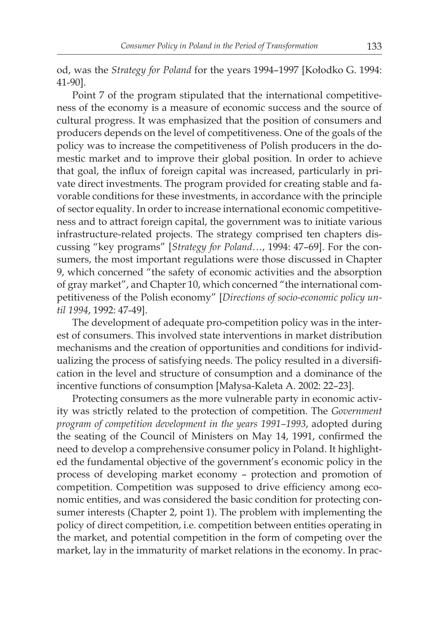od, was the *Strategy for Poland* for the years 1994–1997 [Kołodko G. 1994: 41-90].

Point 7 of the program stipulated that the international competitiveness of the economy is a measure of economic success and the source of cultural progress. It was emphasized that the position of consumers and producers depends on the level of competitiveness. One of the goals of the policy was to increase the competitiveness of Polish producers in the domestic market and to improve their global position. In order to achieve that goal, the influx of foreign capital was increased, particularly in private direct investments. The program provided for creating stable and favorable conditions for these investments, in accordance with the principle of sector equality. In order to increase international economic competitiveness and to attract foreign capital, the government was to initiate various infrastructure-related projects. The strategy comprised ten chapters discussing "key programs" [*Strategy for Poland…*, 1994: 47–69]. For the consumers, the most important regulations were those discussed in Chapter 9, which concerned "the safety of economic activities and the absorption of gray market", and Chapter 10, which concerned "the international competitiveness of the Polish economy" [*Directions of socio-economic policy until 1994*, 1992: 47-49].

The development of adequate pro-competition policy was in the interest of consumers. This involved state interventions in market distribution mechanisms and the creation of opportunities and conditions for individualizing the process of satisfying needs. The policy resulted in a diversification in the level and structure of consumption and a dominance of the incentive functions of consumption [Małysa-Kaleta A. 2002: 22–23].

Protecting consumers as the more vulnerable party in economic activity was strictly related to the protection of competition. The *Government program of competition development in the years 1991–1993*, adopted during the seating of the Council of Ministers on May 14, 1991, confirmed the need to develop a comprehensive consumer policy in Poland. It highlighted the fundamental objective of the government's economic policy in the process of developing market economy – protection and promotion of competition. Competition was supposed to drive efficiency among economic entities, and was considered the basic condition for protecting consumer interests (Chapter 2, point 1). The problem with implementing the policy of direct competition, i.e. competition between entities operating in the market, and potential competition in the form of competing over the market, lay in the immaturity of market relations in the economy. In prac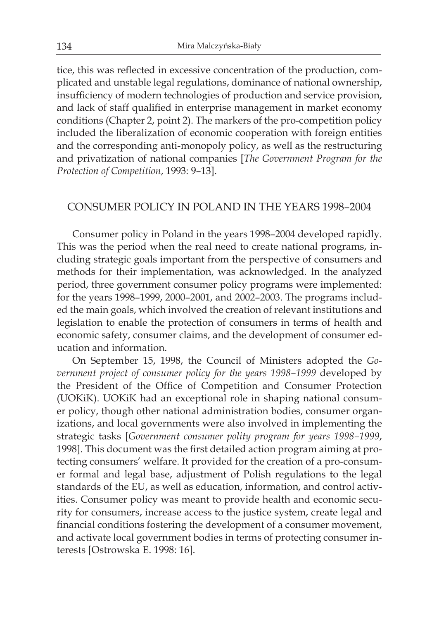tice, this was reflected in excessive concentration of the production, complicated and unstable legal regulations, dominance of national ownership, insufficiency of modern technologies of production and service provision, and lack of staff qualified in enterprise management in market economy conditions (Chapter 2, point 2). The markers of the pro-competition policy included the liberalization of economic cooperation with foreign entities and the corresponding anti-monopoly policy, as well as the restructuring and privatization of national companies [*The Government Program for the Protection of Competition*, 1993: 9–13].

## CONSUMER POLICY IN POLAND IN THE YEARS 1998–2004

Consumer policy in Poland in the years 1998–2004 developed rapidly. This was the period when the real need to create national programs, including strategic goals important from the perspective of consumers and methods for their implementation, was acknowledged. In the analyzed period, three government consumer policy programs were implemented: for the years 1998–1999, 2000–2001, and 2002–2003. The programs included the main goals, which involved the creation of relevant institutions and legislation to enable the protection of consumers in terms of health and economic safety, consumer claims, and the development of consumer education and information.

On September 15, 1998, the Council of Ministers adopted the *Go vernment project of consumer policy for the years 1998–1999* developed by the President of the Office of Competition and Consumer Protection (UOKiK). UOKiK had an exceptional role in shaping national consumer policy, though other national administration bodies, consumer organizations, and local governments were also involved in implementing the strategic tasks [*Government consumer polity program for years 1998–1999*, 1998]. This document was the first detailed action program aiming at protecting consumers' welfare. It provided for the creation of a pro-consumer formal and legal base, adjustment of Polish regulations to the legal standards of the EU, as well as education, information, and control activities. Consumer policy was meant to provide health and economic security for consumers, increase access to the justice system, create legal and financial conditions fostering the development of a consumer movement, and activate local government bodies in terms of protecting consumer interests [Ostrowska E. 1998: 16].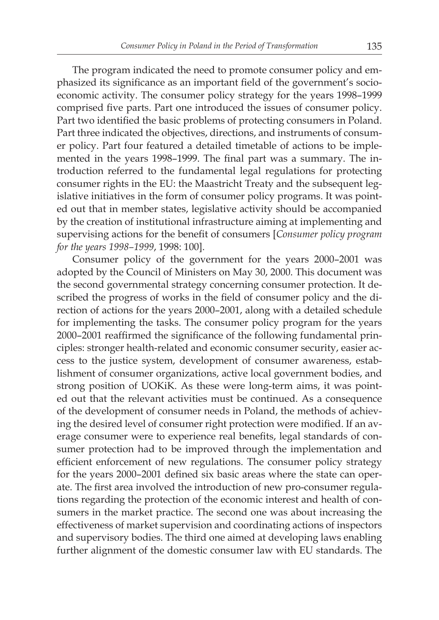The program indicated the need to promote consumer policy and emphasized its significance as an important field of the government's socioeconomic activity. The consumer policy strategy for the years 1998–1999 comprised five parts. Part one introduced the issues of consumer policy. Part two identified the basic problems of protecting consumers in Poland. Part three indicated the objectives, directions, and instruments of consumer policy. Part four featured a detailed timetable of actions to be implemented in the years 1998–1999. The final part was a summary. The introduction referred to the fundamental legal regulations for protecting consumer rights in the EU: the Maastricht Treaty and the subsequent legislative initiatives in the form of consumer policy programs. It was pointed out that in member states, legislative activity should be accompanied by the creation of institutional infrastructure aiming at implementing and supervising actions for the benefit of consumers [*Consumer policy program for the years 1998–1999*, 1998: 100].

Consumer policy of the government for the years 2000–2001 was adopted by the Council of Ministers on May 30, 2000. This document was the second governmental strategy concerning consumer protection. It described the progress of works in the field of consumer policy and the direction of actions for the years 2000–2001, along with a detailed schedule for implementing the tasks. The consumer policy program for the years 2000–2001 reaffirmed the significance of the following fundamental principles: stronger health-related and economic consumer security, easier access to the justice system, development of consumer awareness, establishment of consumer organizations, active local government bodies, and strong position of UOKiK. As these were long-term aims, it was pointed out that the relevant activities must be continued. As a consequence of the development of consumer needs in Poland, the methods of achieving the desired level of consumer right protection were modified. If an average consumer were to experience real benefits, legal standards of consumer protection had to be improved through the implementation and efficient enforcement of new regulations. The consumer policy strategy for the years 2000–2001 defined six basic areas where the state can operate. The first area involved the introduction of new pro-consumer regulations regarding the protection of the economic interest and health of consumers in the market practice. The second one was about increasing the effectiveness of market supervision and coordinating actions of inspectors and supervisory bodies. The third one aimed at developing laws enabling further alignment of the domestic consumer law with EU standards. The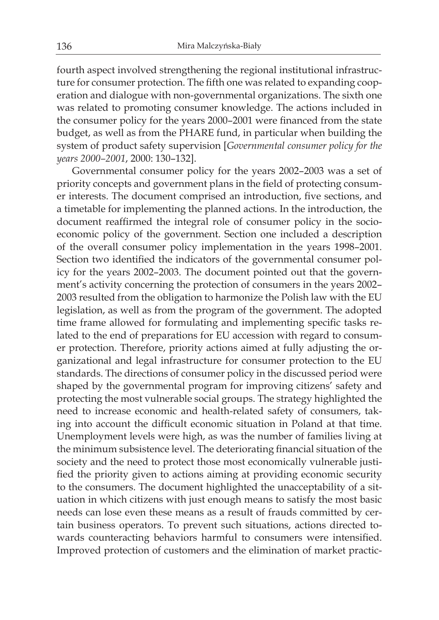fourth aspect involved strengthening the regional institutional infrastructure for consumer protection. The fifth one was related to expanding cooperation and dialogue with non-governmental organizations. The sixth one was related to promoting consumer knowledge. The actions included in the consumer policy for the years 2000–2001 were financed from the state budget, as well as from the PHARE fund, in particular when building the system of product safety supervision [*Governmental consumer policy for the years 2000–2001*, 2000: 130–132].

Governmental consumer policy for the years 2002–2003 was a set of priority concepts and government plans in the field of protecting consumer interests. The document comprised an introduction, five sections, and a timetable for implementing the planned actions. In the introduction, the document reaffirmed the integral role of consumer policy in the socioeconomic policy of the government. Section one included a description of the overall consumer policy implementation in the years 1998–2001. Section two identified the indicators of the governmental consumer policy for the years 2002–2003. The document pointed out that the government's activity concerning the protection of consumers in the years 2002– 2003 resulted from the obligation to harmonize the Polish law with the EU legislation, as well as from the program of the government. The adopted time frame allowed for formulating and implementing specific tasks related to the end of preparations for EU accession with regard to consumer protection. Therefore, priority actions aimed at fully adjusting the organizational and legal infrastructure for consumer protection to the EU standards. The directions of consumer policy in the discussed period were shaped by the governmental program for improving citizens' safety and protecting the most vulnerable social groups. The strategy highlighted the need to increase economic and health-related safety of consumers, taking into account the difficult economic situation in Poland at that time. Unemployment levels were high, as was the number of families living at the minimum subsistence level. The deteriorating financial situation of the society and the need to protect those most economically vulnerable justified the priority given to actions aiming at providing economic security to the consumers. The document highlighted the unacceptability of a situation in which citizens with just enough means to satisfy the most basic needs can lose even these means as a result of frauds committed by certain business operators. To prevent such situations, actions directed towards counteracting behaviors harmful to consumers were intensified. Improved protection of customers and the elimination of market practic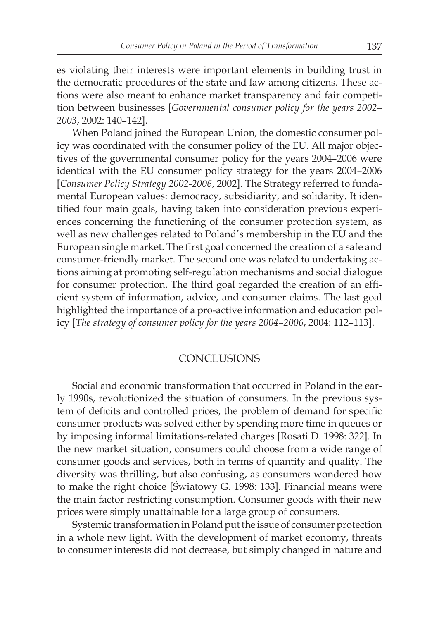es violating their interests were important elements in building trust in the democratic procedures of the state and law among citizens. These actions were also meant to enhance market transparency and fair competition between businesses [*Governmental consumer policy for the years 2002– 2003*, 2002: 140–142].

When Poland joined the European Union, the domestic consumer policy was coordinated with the consumer policy of the EU. All major objectives of the governmental consumer policy for the years 2004–2006 were identical with the EU consumer policy strategy for the years 2004–2006 [*Consumer Policy Strategy 2002-2006*, 2002]. The Strategy referred to fundamental European values: democracy, subsidiarity, and solidarity. It identified four main goals, having taken into consideration previous experiences concerning the functioning of the consumer protection system, as well as new challenges related to Poland's membership in the EU and the European single market. The first goal concerned the creation of a safe and consumer-friendly market. The second one was related to undertaking actions aiming at promoting self-regulation mechanisms and social dialogue for consumer protection. The third goal regarded the creation of an efficient system of information, advice, and consumer claims. The last goal highlighted the importance of a pro-active information and education policy [*The strategy of consumer policy for the years 2004–2006*, 2004: 112–113].

### CONCLUSIONS

Social and economic transformation that occurred in Poland in the early 1990s, revolutionized the situation of consumers. In the previous system of deficits and controlled prices, the problem of demand for specific consumer products was solved either by spending more time in queues or by imposing informal limitations-related charges [Rosati D. 1998: 322]. In the new market situation, consumers could choose from a wide range of consumer goods and services, both in terms of quantity and quality. The diversity was thrilling, but also confusing, as consumers wondered how to make the right choice [Światowy G. 1998: 133]. Financial means were the main factor restricting consumption. Consumer goods with their new prices were simply unattainable for a large group of consumers.

Systemic transformation in Poland put the issue of consumer protection in a whole new light. With the development of market economy, threats to consumer interests did not decrease, but simply changed in nature and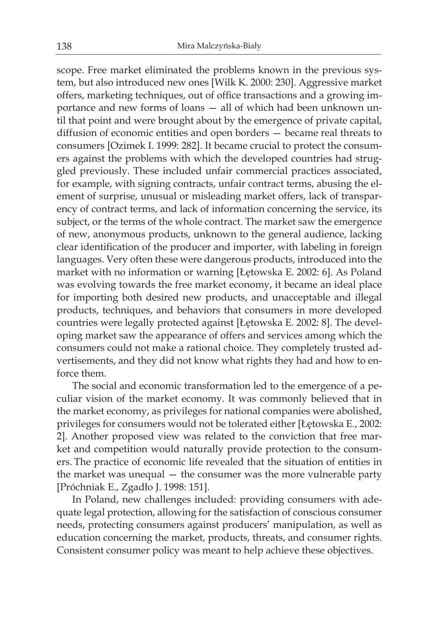scope. Free market eliminated the problems known in the previous system, but also introduced new ones [Wilk K. 2000: 230]. Aggressive market offers, marketing techniques, out of office transactions and a growing importance and new forms of loans — all of which had been unknown until that point and were brought about by the emergence of private capital, diffusion of economic entities and open borders — became real threats to consumers [Ozimek I. 1999: 282]. It became crucial to protect the consumers against the problems with which the developed countries had struggled previously. These included unfair commercial practices associated, for example, with signing contracts, unfair contract terms, abusing the element of surprise, unusual or misleading market offers, lack of transparency of contract terms, and lack of information concerning the service, its subject, or the terms of the whole contract. The market saw the emergence of new, anonymous products, unknown to the general audience, lacking clear identification of the producer and importer, with labeling in foreign languages. Very often these were dangerous products, introduced into the market with no information or warning [Łętowska E. 2002: 6]. As Poland was evolving towards the free market economy, it became an ideal place for importing both desired new products, and unacceptable and illegal products, techniques, and behaviors that consumers in more developed countries were legally protected against [Łętowska E. 2002: 8]. The developing market saw the appearance of offers and services among which the consumers could not make a rational choice. They completely trusted advertisements, and they did not know what rights they had and how to enforce them.

The social and economic transformation led to the emergence of a peculiar vision of the market economy. It was commonly believed that in the market economy, as privileges for national companies were abolished, privileges for consumers would not be tolerated either [Łętowska E., 2002: 2]. Another proposed view was related to the conviction that free market and competition would naturally provide protection to the consumers. The practice of economic life revealed that the situation of entities in the market was unequal — the consumer was the more vulnerable party [Próchniak E., Zgadło J. 1998: 151].

In Poland, new challenges included: providing consumers with adequate legal protection, allowing for the satisfaction of conscious consumer needs, protecting consumers against producers' manipulation, as well as education concerning the market, products, threats, and consumer rights. Consistent consumer policy was meant to help achieve these objectives.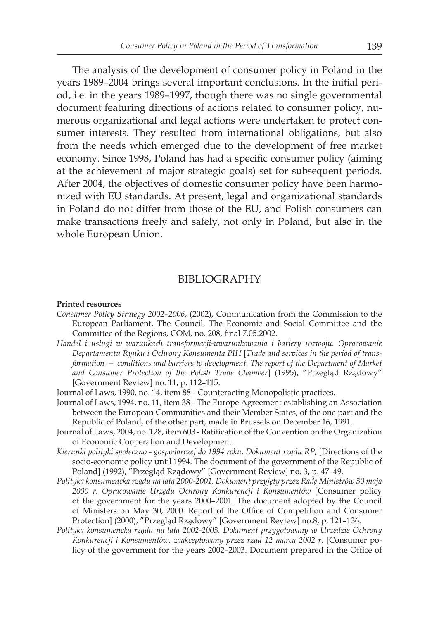The analysis of the development of consumer policy in Poland in the years 1989–2004 brings several important conclusions. In the initial period, i.e. in the years 1989–1997, though there was no single governmental document featuring directions of actions related to consumer policy, numerous organizational and legal actions were undertaken to protect consumer interests. They resulted from international obligations, but also from the needs which emerged due to the development of free market economy. Since 1998, Poland has had a specific consumer policy (aiming at the achievement of major strategic goals) set for subsequent periods. After 2004, the objectives of domestic consumer policy have been harmonized with EU standards. At present, legal and organizational standards in Poland do not differ from those of the EU, and Polish consumers can make transactions freely and safely, not only in Poland, but also in the whole European Union.

#### BIBLIOGRAPHY

#### **Printed resources**

- *Consumer Policy Strategy 2002–2006*, (2002), Communication from the Commission to the European Parliament, The Council, The Economic and Social Committee and the Committee of the Regions, COM, no. 208, final 7.05.2002.
- *Handel i usługi w warunkach transformacji-uwarunkowania i bariery rozwoju. Opracowanie Departamentu Rynku i Ochrony Konsumenta PIH* [*Trade and services in the period of transformation — conditions and barriers to development. The report of the Department of Market and Consumer Protection of the Polish Trade Chamber*] (1995), "Przegląd Rządowy" [Government Review] no. 11, p. 112–115.
- Journal of Laws, 1990, no. 14, item 88 Counteracting Monopolistic practices.
- Journal of Laws, 1994, no. 11, item 38 The Europe Agreement establishing an Association between the European Communities and their Member States, of the one part and the Republic of Poland, of the other part, made in Brussels on December 16, 1991.
- Journal of Laws, 2004, no. 128, item 603 Ratification of the Convention on the Organization of Economic Cooperation and Development.
- *Kierunki polityki społeczno gospodarczej do 1994 roku*. *Dokument rządu RP,* [Directions of the socio-economic policy until 1994. The document of the government of the Republic of Poland] (1992), "Przegląd Rządowy" [Government Review] no. 3, p. 47–49.
- *Polityka konsumencka rządu na lata 2000-2001. Dokument przyjęty przez Radę Ministrów 30 maja 2000 r. Opracowanie Urzędu Ochrony Konkurencji i Konsumentów* [Consumer policy of the government for the years 2000–2001. The document adopted by the Council of Ministers on May 30, 2000. Report of the Office of Competition and Consumer Protection] (2000), "Przegląd Rządowy" [Government Review] no.8, p. 121–136.
- *Polityka konsumencka rządu na lata 2002-2003. Dokument przygotowany w Urzędzie Ochrony Konkurencji i Konsumentów, zaakceptowany przez rząd 12 marca 2002 r.* [Consumer policy of the government for the years 2002–2003. Document prepared in the Office of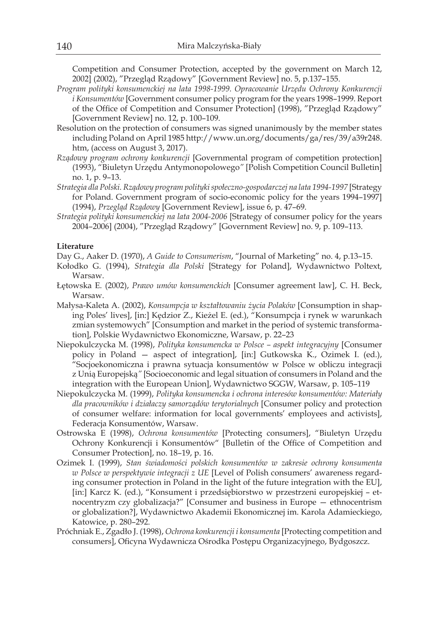Competition and Consumer Protection, accepted by the government on March 12, 2002] (2002), "Przegląd Rządowy" [Government Review] no. 5, p.137–155.

- *Program polityki konsumenckiej na lata 1998-1999. Opracowanie Urzędu Ochrony Konkurencji i Konsumentów* [Government consumer policy program for the years 1998–1999. Report of the Office of Competition and Consumer Protection] (1998), "Przegląd Rządowy" [Government Review] no. 12, p. 100–109.
- Resolution on the protection of consumers was signed unanimously by the member states including Poland on April 1985 http://www.un.org/documents/ga/res/39/a39r248. htm, (access on August 3, 2017).
- *Rządowy program ochrony konkurencji* [Governmental program of competition protection] (1993), "Biuletyn Urzędu Antymonopolowego*"* [Polish Competition Council Bulletin] no. 1, p. 9–13.
- *Strategia dla Polski. Rządowy program polityki społeczno-gospodarczej na lata 1994-1997* [Strategy for Poland. Government program of socio-economic policy for the years 1994–1997] (1994), *Przegląd Rządowy* [Government Review], issue 6, p. 47–69.
- *Strategia polityki konsumenckiej na lata 2004-2006* [Strategy of consumer policy for the years 2004–2006] (2004), "Przegląd Rządowy" [Government Review] no. 9, p. 109–113.

#### **Literature**

Day G., Aaker D. (1970), *A Guide to Consumerism*, "Journal of Marketing" no. 4, p.13–15.

- Kołodko G. (1994), *Strategia dla Polski* [Strategy for Poland], Wydawnictwo Poltext, Warsaw.
- Łętowska E. (2002), *Prawo umów konsumenckich* [Consumer agreement law], C. H. Beck, Warsaw.
- Małysa-Kaleta A. (2002), *Konsumpcja w kształtowaniu życia Polaków* [Consumption in shaping Poles' lives], [in:] Kędzior Z., Kieżel E. (ed.), "Konsumpcja i rynek w warunkach zmian systemowych" [Consumption and market in the period of systemic transformation], Polskie Wydawnictwo Ekonomiczne, Warsaw, p. 22–23
- Niepokulczycka M. (1998), *Polityka konsumencka w Polsce aspekt integracyjny* [Consumer policy in Poland — aspect of integration], [in:] Gutkowska K., Ozimek I. (ed.), "Socjoekonomiczna i prawna sytuacja konsumentów w Polsce w obliczu integracji z Unią Europejską*"* [Socioeconomic and legal situation of consumers in Poland and the integration with the European Union], Wydawnictwo SGGW, Warsaw, p. 105–119
- Niepokulczycka M. (1999), *Polityka konsumencka i ochrona interesów konsumentów: Materiały dla pracowników i działaczy samorządów terytorialnych* [Consumer policy and protection of consumer welfare: information for local governments' employees and activists], Federacja Konsumentów, Warsaw.
- Ostrowska E (1998), *Ochrona konsumentów* [Protecting consumers], "Biuletyn Urzędu Ochrony Konkurencji i Konsumentów" [Bulletin of the Office of Competition and Consumer Protection], no. 18–19, p. 16.
- Ozimek I. (1999), *Stan świadomości polskich konsumentów w zakresie ochrony konsumenta w Polsce w perspektywie integracji z UE* [Level of Polish consumers' awareness regarding consumer protection in Poland in the light of the future integration with the EU], [in:] Karcz K. (ed.), "Konsument i przedsiębiorstwo w przestrzeni europejskiej – etnocentryzm czy globalizacja?" [Consumer and business in Europe — ethnocentrism or globalization?], Wydawnictwo Akademii Ekonomicznej im. Karola Adamieckiego, Katowice, p. 280–292.
- Próchniak E., Zgadło J. (1998), *Ochrona konkurencji i konsumenta* [Protecting competition and consumers], Oficyna Wydawnicza Ośrodka Postępu Organizacyjnego, Bydgoszcz.